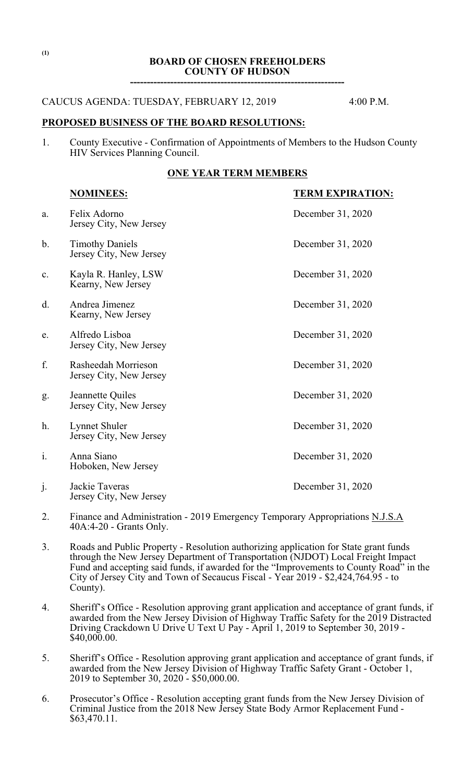# **BOARD OF CHOSEN FREEHOLDERS COUNTY OF HUDSON**

**----------------------------------------------------------------**

### CAUCUS AGENDA: TUESDAY, FEBRUARY 12, 2019 4:00 P.M.

# **PROPOSED BUSINESS OF THE BOARD RESOLUTIONS:**

1. County Executive - Confirmation of Appointments of Members to the Hudson County HIV Services Planning Council.

#### **ONE YEAR TERM MEMBERS**

|    | <b>NOMINEES:</b>                                  | <b>TERM EXPIRATION:</b> |
|----|---------------------------------------------------|-------------------------|
| a. | Felix Adorno<br>Jersey City, New Jersey           | December 31, 2020       |
| b. | <b>Timothy Daniels</b><br>Jersey City, New Jersey | December 31, 2020       |
| c. | Kayla R. Hanley, LSW<br>Kearny, New Jersey        | December 31, 2020       |
| d. | Andrea Jimenez<br>Kearny, New Jersey              | December 31, 2020       |
| e. | Alfredo Lisboa<br>Jersey City, New Jersey         | December 31, 2020       |
| f. | Rasheedah Morrieson<br>Jersey City, New Jersey    | December 31, 2020       |
| g. | Jeannette Quiles<br>Jersey City, New Jersey       | December 31, 2020       |
| h. | Lynnet Shuler<br>Jersey City, New Jersey          | December 31, 2020       |
| i. | Anna Siano<br>Hoboken, New Jersey                 | December 31, 2020       |
| j. | Jackie Taveras<br>Jersey City, New Jersey         | December 31, 2020       |

- 2. Finance and Administration 2019 Emergency Temporary Appropriations N.J.S.A 40A:4-20 - Grants Only.
- 3. Roads and Public Property Resolution authorizing application for State grant funds through the New Jersey Department of Transportation (NJDOT) Local Freight Impact Fund and accepting said funds, if awarded for the "Improvements to County Road" in the City of Jersey City and Town of Secaucus Fiscal - Year 2019 - \$2,424,764.95 - to County).
- 4. Sheriff's Office Resolution approving grant application and acceptance of grant funds, if awarded from the New Jersey Division of Highway Traffic Safety for the 2019 Distracted Driving Crackdown U Drive U Text U Pay - April 1, 2019 to September 30, 2019 - \$40,000.00.
- 5. Sheriff's Office Resolution approving grant application and acceptance of grant funds, if awarded from the New Jersey Division of Highway Traffic Safety Grant - October 1, 2019 to September 30, 2020 - \$50,000.00.
- 6. Prosecutor's Office Resolution accepting grant funds from the New Jersey Division of Criminal Justice from the 2018 New Jersey State Body Armor Replacement Fund - \$63,470.11.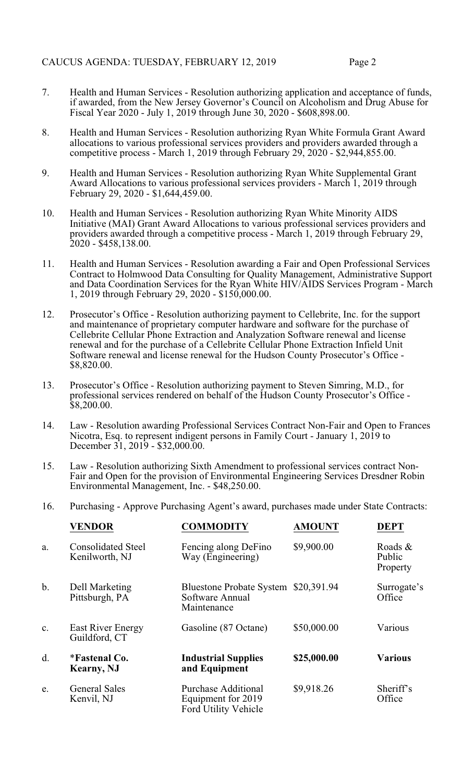- 7. Health and Human Services Resolution authorizing application and acceptance of funds, if awarded, from the New Jersey Governor's Council on Alcoholism and Drug Abuse for Fiscal Year 2020 - July 1, 2019 through June 30, 2020 - \$608,898.00.
- 8. Health and Human Services Resolution authorizing Ryan White Formula Grant Award allocations to various professional services providers and providers awarded through a competitive process - March 1, 2019 through February 29, 2020 - \$2,944,855.00.
- 9. Health and Human Services Resolution authorizing Ryan White Supplemental Grant Award Allocations to various professional services providers - March 1, 2019 through February 29, 2020 - \$1,644,459.00.
- 10. Health and Human Services Resolution authorizing Ryan White Minority AIDS Initiative (MAI) Grant Award Allocations to various professional services providers and providers awarded through a competitive process - March 1, 2019 through February 29, 2020 - \$458,138.00.
- 11. Health and Human Services Resolution awarding a Fair and Open Professional Services Contract to Holmwood Data Consulting for Quality Management, Administrative Support and Data Coordination Services for the Ryan White HIV/AIDS Services Program - March 1, 2019 through February 29, 2020 - \$150,000.00.
- 12. Prosecutor's Office Resolution authorizing payment to Cellebrite, Inc. for the support and maintenance of proprietary computer hardware and software for the purchase of Cellebrite Cellular Phone Extraction and Analyzation Software renewal and license renewal and for the purchase of a Cellebrite Cellular Phone Extraction Infield Unit Software renewal and license renewal for the Hudson County Prosecutor's Office - \$8,820.00.
- 13. Prosecutor's Office Resolution authorizing payment to Steven Simring, M.D., for professional services rendered on behalf of the Hudson County Prosecutor's Office - \$8,200.00.
- 14. Law Resolution awarding Professional Services Contract Non-Fair and Open to Frances Nicotra, Esq. to represent indigent persons in Family Court - January 1, 2019 to December 31, 2019 - \$32,000.00.
- 15. Law Resolution authorizing Sixth Amendment to professional services contract Non-Fair and Open for the provision of Environmental Engineering Services Dresdner Robin Environmental Management, Inc. - \$48,250.00.
- 16. Purchasing Approve Purchasing Agent's award, purchases made under State Contracts:

|               | <b>VENDOR</b>                               | <b>COMMODITY</b>                                                         | <b>AMOUNT</b> | <b>DEPT</b>                   |
|---------------|---------------------------------------------|--------------------------------------------------------------------------|---------------|-------------------------------|
| a.            | <b>Consolidated Steel</b><br>Kenilworth, NJ | Fencing along DeFino<br>Way (Engineering)                                | \$9,900.00    | Roads &<br>Public<br>Property |
| $\mathbf b$ . | Dell Marketing<br>Pittsburgh, PA            | <b>Bluestone Probate System</b><br>Software Annual<br>Maintenance        | \$20,391.94   | Surrogate's<br>Office         |
| c.            | <b>East River Energy</b><br>Guildford, CT   | Gasoline (87 Octane)                                                     | \$50,000.00   | Various                       |
| d.            | <i>*Fastenal Co.</i><br><b>Kearny</b> , NJ  | <b>Industrial Supplies</b><br>and Equipment                              | \$25,000.00   | <b>Various</b>                |
| e.            | <b>General Sales</b><br>Kenvil, NJ          | <b>Purchase Additional</b><br>Equipment for 2019<br>Ford Utility Vehicle | \$9,918.26    | Sheriff's<br>Office           |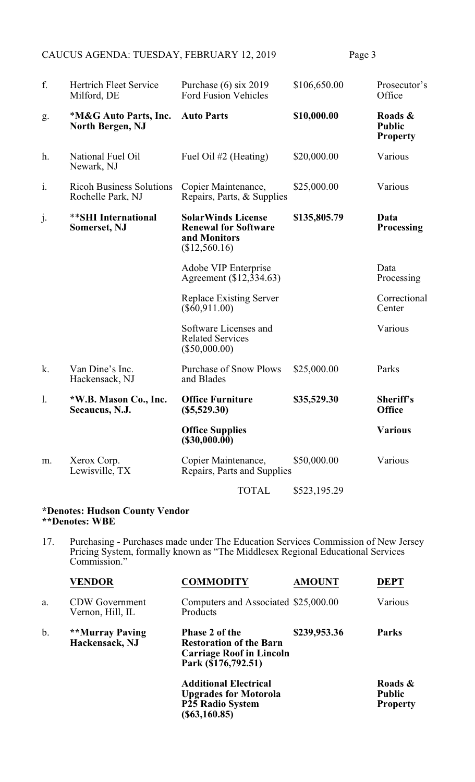| f.             | <b>Hertrich Fleet Service</b><br>Milford, DE         | Purchase $(6)$ six 2019<br><b>Ford Fusion Vehicles</b>                                    | \$106,650.00 | Prosecutor's<br>Office                      |
|----------------|------------------------------------------------------|-------------------------------------------------------------------------------------------|--------------|---------------------------------------------|
| g.             | *M&G Auto Parts, Inc.<br><b>North Bergen, NJ</b>     | <b>Auto Parts</b>                                                                         | \$10,000.00  | Roads &<br><b>Public</b><br><b>Property</b> |
| h.             | National Fuel Oil<br>Newark, NJ                      | Fuel Oil #2 (Heating)                                                                     | \$20,000.00  | Various                                     |
| $\mathbf{i}$ . | <b>Ricoh Business Solutions</b><br>Rochelle Park, NJ | Copier Maintenance,<br>Repairs, Parts, & Supplies                                         | \$25,000.00  | Various                                     |
| j.             | <b>**SHI</b> International<br><b>Somerset, NJ</b>    | <b>SolarWinds License</b><br><b>Renewal for Software</b><br>and Monitors<br>(\$12,560.16) | \$135,805.79 | Data<br><b>Processing</b>                   |
|                |                                                      | Adobe VIP Enterprise<br>Agreement (\$12,334.63)                                           |              | Data<br>Processing                          |
|                |                                                      | <b>Replace Existing Server</b><br>$(\$60,911.00)$                                         |              | Correctional<br>Center                      |
|                |                                                      | Software Licenses and<br><b>Related Services</b><br>$(\$50,000.00)$                       |              | Various                                     |
| k.             | Van Dine's Inc.<br>Hackensack, NJ                    | <b>Purchase of Snow Plows</b><br>and Blades                                               | \$25,000.00  | Parks                                       |
| 1.             | *W.B. Mason Co., Inc.<br>Secaucus, N.J.              | <b>Office Furniture</b><br>$(\$5,529.30)$                                                 | \$35,529.30  | Sheriff's<br><b>Office</b>                  |
|                |                                                      | <b>Office Supplies</b><br>(\$30,000.00)                                                   |              | <b>Various</b>                              |
| m.             | Xerox Corp.<br>Lewisville, TX                        | Copier Maintenance,<br>Repairs, Parts and Supplies                                        | \$50,000.00  | Various                                     |
|                |                                                      | <b>TOTAL</b>                                                                              | \$523,195.29 |                                             |

#### **\*Denotes: Hudson County Vendor \*\*Denotes: WBE**

17. Purchasing - Purchases made under The Education Services Commission of New Jersey Pricing System, formally known as "The Middlesex Regional Educational Services Commission."

|    | <b>VENDOR</b>                             | <b>COMMODITY</b>                                                                                                  | <b>AMOUNT</b> | <b>DEPT</b>                                 |
|----|-------------------------------------------|-------------------------------------------------------------------------------------------------------------------|---------------|---------------------------------------------|
| a. | <b>CDW</b> Government<br>Vernon, Hill, IL | Computers and Associated \$25,000.00<br>Products                                                                  |               | Various                                     |
| b. | **Murray Paving<br>Hackensack, NJ         | <b>Phase 2 of the</b><br><b>Restoration of the Barn</b><br><b>Carriage Roof in Lincoln</b><br>Park (\$176,792.51) | \$239,953.36  | <b>Parks</b>                                |
|    |                                           | <b>Additional Electrical</b><br><b>Upgrades for Motorola</b><br><b>P25 Radio System</b><br>(S63, 160.85)          |               | Roads &<br><b>Public</b><br><b>Property</b> |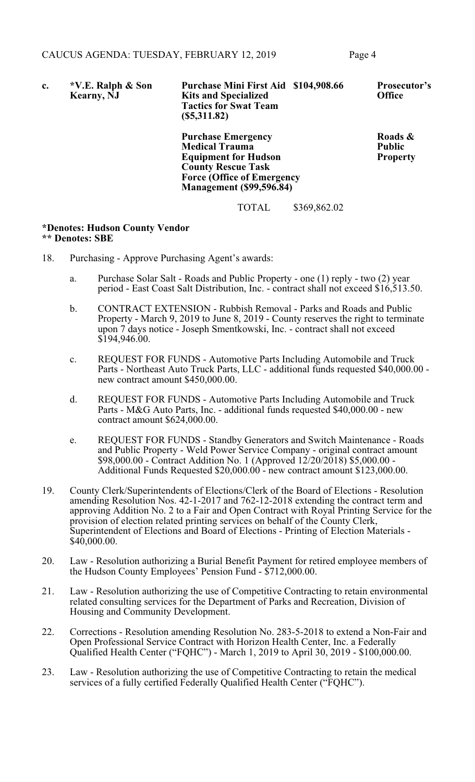| c. | *V.E. Ralph & Son<br><b>Kearny</b> , NJ | Purchase Mini First Aid \$104,908.66<br><b>Kits and Specialized</b><br><b>Tactics for Swat Team</b><br>(S5,311.82) | <b>Prosecutor's</b><br><b>Office</b> |
|----|-----------------------------------------|--------------------------------------------------------------------------------------------------------------------|--------------------------------------|
|    |                                         | <b>Purchase Emergency</b>                                                                                          | Roads &                              |
|    |                                         | <b>Medical Trauma</b>                                                                                              | <b>Public</b>                        |
|    |                                         | <b>Equipment for Hudson</b>                                                                                        | <b>Property</b>                      |
|    |                                         | <b>County Rescue Task</b>                                                                                          |                                      |
|    |                                         | <b>Force (Office of Emergency</b>                                                                                  |                                      |
|    |                                         | <b>Management</b> (\$99,596.84)                                                                                    |                                      |

# **\*Denotes: Hudson County Vendor**

#### **\*\* Denotes: SBE**

- 18. Purchasing Approve Purchasing Agent's awards:
	- a. Purchase Solar Salt Roads and Public Property one (1) reply two (2) year period - East Coast Salt Distribution, Inc. - contract shall not exceed \$16,513.50.

TOTAL \$369,862.02

- b. CONTRACT EXTENSION Rubbish Removal Parks and Roads and Public Property - March 9, 2019 to June 8, 2019 - County reserves the right to terminate upon 7 days notice - Joseph Smentkowski, Inc. - contract shall not exceed  $$194,946.00.$
- c. REQUEST FOR FUNDS Automotive Parts Including Automobile and Truck Parts - Northeast Auto Truck Parts, LLC - additional funds requested \$40,000.00 new contract amount \$450,000.00.
- d. REQUEST FOR FUNDS Automotive Parts Including Automobile and Truck Parts - M&G Auto Parts, Inc. - additional funds requested \$40,000.00 - new contract amount \$624,000.00.
- e. REQUEST FOR FUNDS Standby Generators and Switch Maintenance Roads and Public Property - Weld Power Service Company - original contract amount \$98,000.00 - Contract Addition No. 1 (Approved 12/20/2018) \$5,000.00 - Additional Funds Requested \$20,000.00 - new contract amount \$123,000.00.
- 19. County Clerk/Superintendents of Elections/Clerk of the Board of Elections Resolution amending Resolution Nos. 42-1-2017 and 762-12-2018 extending the contract term and approving Addition No. 2 to a Fair and Open Contract with Royal Printing Service for the provision of election related printing services on behalf of the County Clerk, Superintendent of Elections and Board of Elections - Printing of Election Materials - $$40,000.00.$
- 20. Law Resolution authorizing a Burial Benefit Payment for retired employee members of the Hudson County Employees' Pension Fund - \$712,000.00.
- 21. Law Resolution authorizing the use of Competitive Contracting to retain environmental related consulting services for the Department of Parks and Recreation, Division of Housing and Community Development.
- 22. Corrections Resolution amending Resolution No. 283-5-2018 to extend a Non-Fair and Open Professional Service Contract with Horizon Health Center, Inc. a Federally Qualified Health Center ("FQHC") - March 1, 2019 to April 30, 2019 - \$100,000.00.
- 23. Law Resolution authorizing the use of Competitive Contracting to retain the medical services of a fully certified Federally Qualified Health Center ("FQHC").